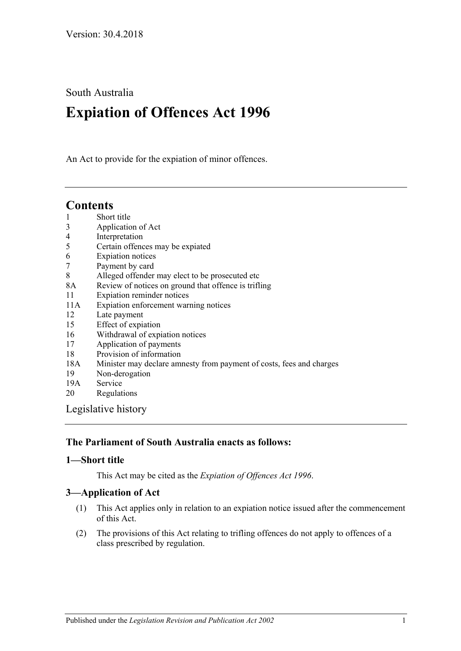South Australia

# **Expiation of Offences Act 1996**

An Act to provide for the expiation of minor offences.

## **Contents**

- 1 [Short title](#page-0-0)
- 3 [Application of Act](#page-0-1)
- 4 [Interpretation](#page-1-0)
- 5 [Certain offences may be expiated](#page-2-0)
- 6 [Expiation notices](#page-2-1)
- 7 [Payment by card](#page-4-0)
- 8 [Alleged offender may elect to be prosecuted etc](#page-4-1)
- 8A [Review of notices on ground that offence is trifling](#page-5-0)
- 11 [Expiation reminder notices](#page-5-1)
- 11A [Expiation enforcement warning notices](#page-6-0)
- 12 [Late payment](#page-6-1)
- 15 [Effect of expiation](#page-7-0)
- 16 [Withdrawal of expiation notices](#page-7-1)
- 17 [Application of payments](#page-9-0)
- 18 [Provision of information](#page-9-1)
- 18A [Minister may declare amnesty from payment of costs, fees and charges](#page-10-0)
- 19 [Non-derogation](#page-10-1)
- 19A [Service](#page-10-2)
- 20 [Regulations](#page-10-3)

[Legislative history](#page-12-0)

## **The Parliament of South Australia enacts as follows:**

## <span id="page-0-0"></span>**1—Short title**

This Act may be cited as the *Expiation of Offences Act 1996*.

## <span id="page-0-1"></span>**3—Application of Act**

- (1) This Act applies only in relation to an expiation notice issued after the commencement of this Act.
- (2) The provisions of this Act relating to trifling offences do not apply to offences of a class prescribed by regulation.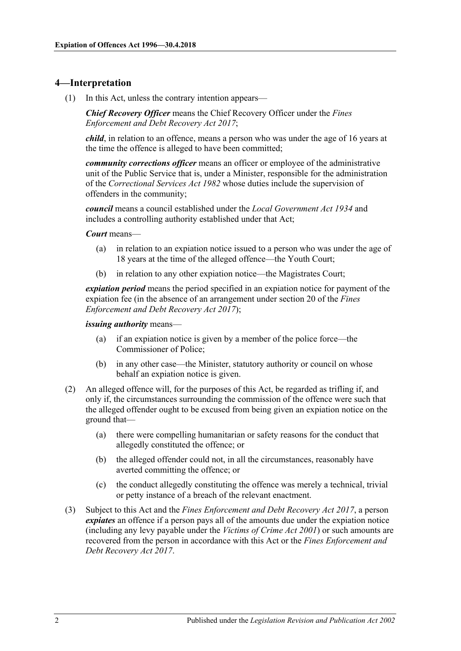## <span id="page-1-0"></span>**4—Interpretation**

(1) In this Act, unless the contrary intention appears—

*Chief Recovery Officer* means the Chief Recovery Officer under the *[Fines](http://www.legislation.sa.gov.au/index.aspx?action=legref&type=act&legtitle=Fines%20Enforcement%20and%20Debt%20Recovery%20Act%202017)  [Enforcement and Debt Recovery Act 2017](http://www.legislation.sa.gov.au/index.aspx?action=legref&type=act&legtitle=Fines%20Enforcement%20and%20Debt%20Recovery%20Act%202017)*;

*child*, in relation to an offence, means a person who was under the age of 16 years at the time the offence is alleged to have been committed;

*community corrections officer* means an officer or employee of the administrative unit of the Public Service that is, under a Minister, responsible for the administration of the *[Correctional Services Act](http://www.legislation.sa.gov.au/index.aspx?action=legref&type=act&legtitle=Correctional%20Services%20Act%201982) 1982* whose duties include the supervision of offenders in the community;

*council* means a council established under the *[Local Government Act](http://www.legislation.sa.gov.au/index.aspx?action=legref&type=act&legtitle=Local%20Government%20Act%201934) 1934* and includes a controlling authority established under that Act;

#### *Court* means—

- (a) in relation to an expiation notice issued to a person who was under the age of 18 years at the time of the alleged offence—the Youth Court;
- (b) in relation to any other expiation notice—the Magistrates Court;

*expiation period* means the period specified in an expiation notice for payment of the expiation fee (in the absence of an arrangement under section 20 of the *[Fines](http://www.legislation.sa.gov.au/index.aspx?action=legref&type=act&legtitle=Fines%20Enforcement%20and%20Debt%20Recovery%20Act%202017)  [Enforcement and Debt Recovery Act](http://www.legislation.sa.gov.au/index.aspx?action=legref&type=act&legtitle=Fines%20Enforcement%20and%20Debt%20Recovery%20Act%202017) 2017*);

#### *issuing authority* means—

- (a) if an expiation notice is given by a member of the police force—the Commissioner of Police;
- (b) in any other case—the Minister, statutory authority or council on whose behalf an expiation notice is given.
- (2) An alleged offence will, for the purposes of this Act, be regarded as trifling if, and only if, the circumstances surrounding the commission of the offence were such that the alleged offender ought to be excused from being given an expiation notice on the ground that—
	- (a) there were compelling humanitarian or safety reasons for the conduct that allegedly constituted the offence; or
	- (b) the alleged offender could not, in all the circumstances, reasonably have averted committing the offence; or
	- (c) the conduct allegedly constituting the offence was merely a technical, trivial or petty instance of a breach of the relevant enactment.
- (3) Subject to this Act and the *[Fines Enforcement and Debt Recovery](http://www.legislation.sa.gov.au/index.aspx?action=legref&type=act&legtitle=Fines%20Enforcement%20and%20Debt%20Recovery%20Act%202017) Act 2017*, a person *expiates* an offence if a person pays all of the amounts due under the expiation notice (including any levy payable under the *[Victims of Crime Act](http://www.legislation.sa.gov.au/index.aspx?action=legref&type=act&legtitle=Victims%20of%20Crime%20Act%202001) 2001*) or such amounts are recovered from the person in accordance with this Act or the *[Fines Enforcement and](http://www.legislation.sa.gov.au/index.aspx?action=legref&type=act&legtitle=Fines%20Enforcement%20and%20Debt%20Recovery%20Act%202017)  [Debt Recovery Act](http://www.legislation.sa.gov.au/index.aspx?action=legref&type=act&legtitle=Fines%20Enforcement%20and%20Debt%20Recovery%20Act%202017) 2017*.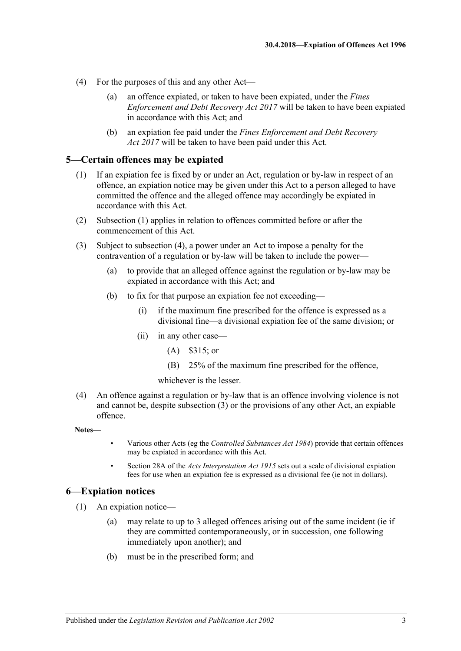- (4) For the purposes of this and any other Act—
	- (a) an offence expiated, or taken to have been expiated, under the *[Fines](http://www.legislation.sa.gov.au/index.aspx?action=legref&type=act&legtitle=Fines%20Enforcement%20and%20Debt%20Recovery%20Act%202017)  [Enforcement and Debt Recovery Act](http://www.legislation.sa.gov.au/index.aspx?action=legref&type=act&legtitle=Fines%20Enforcement%20and%20Debt%20Recovery%20Act%202017) 2017* will be taken to have been expiated in accordance with this Act; and
	- (b) an expiation fee paid under the *[Fines Enforcement and Debt Recovery](http://www.legislation.sa.gov.au/index.aspx?action=legref&type=act&legtitle=Fines%20Enforcement%20and%20Debt%20Recovery%20Act%202017)  Act [2017](http://www.legislation.sa.gov.au/index.aspx?action=legref&type=act&legtitle=Fines%20Enforcement%20and%20Debt%20Recovery%20Act%202017)* will be taken to have been paid under this Act.

#### <span id="page-2-2"></span><span id="page-2-0"></span>**5—Certain offences may be expiated**

- (1) If an expiation fee is fixed by or under an Act, regulation or by-law in respect of an offence, an expiation notice may be given under this Act to a person alleged to have committed the offence and the alleged offence may accordingly be expiated in accordance with this Act.
- (2) [Subsection](#page-2-2) (1) applies in relation to offences committed before or after the commencement of this Act.
- <span id="page-2-4"></span>(3) Subject to [subsection](#page-2-3) (4), a power under an Act to impose a penalty for the contravention of a regulation or by-law will be taken to include the power—
	- (a) to provide that an alleged offence against the regulation or by-law may be expiated in accordance with this Act; and
	- (b) to fix for that purpose an expiation fee not exceeding—
		- (i) if the maximum fine prescribed for the offence is expressed as a divisional fine—a divisional expiation fee of the same division; or
		- (ii) in any other case—
			- (A) \$315; or
			- (B) 25% of the maximum fine prescribed for the offence,

whichever is the lesser.

<span id="page-2-3"></span>(4) An offence against a regulation or by-law that is an offence involving violence is not and cannot be, despite [subsection](#page-2-4) (3) or the provisions of any other Act, an expiable offence.

**Notes—**

- Various other Acts (eg the *[Controlled Substances Act](http://www.legislation.sa.gov.au/index.aspx?action=legref&type=act&legtitle=Controlled%20Substances%20Act%201984) 1984*) provide that certain offences may be expiated in accordance with this Act.
- Section 28A of the *[Acts Interpretation Act](http://www.legislation.sa.gov.au/index.aspx?action=legref&type=act&legtitle=Acts%20Interpretation%20Act%201915) 1915* sets out a scale of divisional expiation fees for use when an expiation fee is expressed as a divisional fee (ie not in dollars).

## <span id="page-2-1"></span>**6—Expiation notices**

- (1) An expiation notice—
	- (a) may relate to up to 3 alleged offences arising out of the same incident (ie if they are committed contemporaneously, or in succession, one following immediately upon another); and
	- (b) must be in the prescribed form; and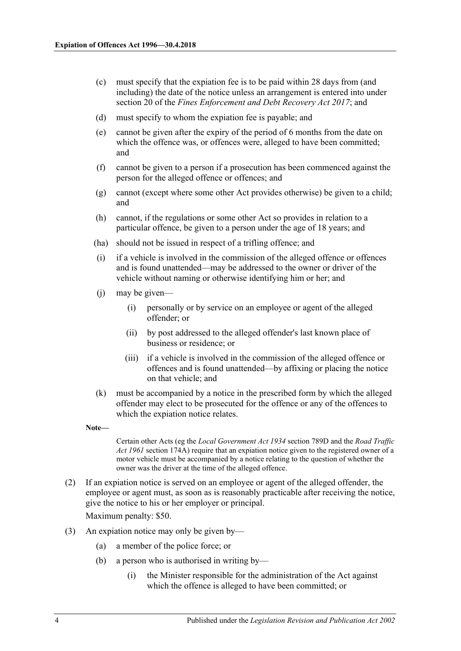- (c) must specify that the expiation fee is to be paid within 28 days from (and including) the date of the notice unless an arrangement is entered into under section 20 of the *[Fines Enforcement and Debt Recovery Act](http://www.legislation.sa.gov.au/index.aspx?action=legref&type=act&legtitle=Fines%20Enforcement%20and%20Debt%20Recovery%20Act%202017) 2017*; and
- (d) must specify to whom the expiation fee is payable; and
- (e) cannot be given after the expiry of the period of 6 months from the date on which the offence was, or offences were, alleged to have been committed; and
- (f) cannot be given to a person if a prosecution has been commenced against the person for the alleged offence or offences; and
- (g) cannot (except where some other Act provides otherwise) be given to a child; and
- (h) cannot, if the regulations or some other Act so provides in relation to a particular offence, be given to a person under the age of 18 years; and
- (ha) should not be issued in respect of a trifling offence; and
- (i) if a vehicle is involved in the commission of the alleged offence or offences and is found unattended—may be addressed to the owner or driver of the vehicle without naming or otherwise identifying him or her; and
- (j) may be given—
	- (i) personally or by service on an employee or agent of the alleged offender; or
	- (ii) by post addressed to the alleged offender's last known place of business or residence; or
	- (iii) if a vehicle is involved in the commission of the alleged offence or offences and is found unattended—by affixing or placing the notice on that vehicle; and
- (k) must be accompanied by a notice in the prescribed form by which the alleged offender may elect to be prosecuted for the offence or any of the offences to which the expiation notice relates.
- **Note—**

Certain other Acts (eg the *[Local Government Act](http://www.legislation.sa.gov.au/index.aspx?action=legref&type=act&legtitle=Local%20Government%20Act%201934) 1934* section 789D and the *[Road Traffic](http://www.legislation.sa.gov.au/index.aspx?action=legref&type=act&legtitle=Road%20Traffic%20Act%201961)  Act [1961](http://www.legislation.sa.gov.au/index.aspx?action=legref&type=act&legtitle=Road%20Traffic%20Act%201961)* section 174A) require that an expiation notice given to the registered owner of a motor vehicle must be accompanied by a notice relating to the question of whether the owner was the driver at the time of the alleged offence.

(2) If an expiation notice is served on an employee or agent of the alleged offender, the employee or agent must, as soon as is reasonably practicable after receiving the notice, give the notice to his or her employer or principal.

Maximum penalty: \$50.

- (3) An expiation notice may only be given by—
	- (a) a member of the police force; or
	- (b) a person who is authorised in writing by—
		- (i) the Minister responsible for the administration of the Act against which the offence is alleged to have been committed; or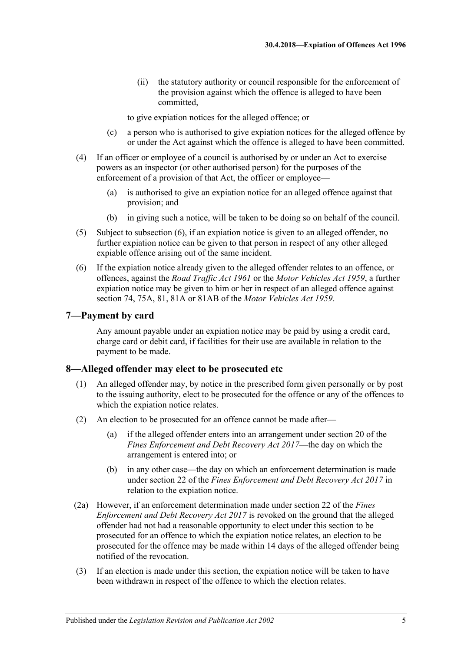(ii) the statutory authority or council responsible for the enforcement of the provision against which the offence is alleged to have been committed,

to give expiation notices for the alleged offence; or

- (c) a person who is authorised to give expiation notices for the alleged offence by or under the Act against which the offence is alleged to have been committed.
- (4) If an officer or employee of a council is authorised by or under an Act to exercise powers as an inspector (or other authorised person) for the purposes of the enforcement of a provision of that Act, the officer or employee—
	- (a) is authorised to give an expiation notice for an alleged offence against that provision; and
	- (b) in giving such a notice, will be taken to be doing so on behalf of the council.
- (5) Subject to [subsection](#page-4-2) (6), if an expiation notice is given to an alleged offender, no further expiation notice can be given to that person in respect of any other alleged expiable offence arising out of the same incident.
- <span id="page-4-2"></span>(6) If the expiation notice already given to the alleged offender relates to an offence, or offences, against the *[Road Traffic Act](http://www.legislation.sa.gov.au/index.aspx?action=legref&type=act&legtitle=Road%20Traffic%20Act%201961) 1961* or the *[Motor Vehicles Act](http://www.legislation.sa.gov.au/index.aspx?action=legref&type=act&legtitle=Motor%20Vehicles%20Act%201959) 1959*, a further expiation notice may be given to him or her in respect of an alleged offence against section 74, 75A, 81, 81A or 81AB of the *[Motor Vehicles Act](http://www.legislation.sa.gov.au/index.aspx?action=legref&type=act&legtitle=Motor%20Vehicles%20Act%201959) 1959*.

#### <span id="page-4-0"></span>**7—Payment by card**

Any amount payable under an expiation notice may be paid by using a credit card, charge card or debit card, if facilities for their use are available in relation to the payment to be made.

#### <span id="page-4-1"></span>**8—Alleged offender may elect to be prosecuted etc**

- (1) An alleged offender may, by notice in the prescribed form given personally or by post to the issuing authority, elect to be prosecuted for the offence or any of the offences to which the expiation notice relates.
- (2) An election to be prosecuted for an offence cannot be made after—
	- (a) if the alleged offender enters into an arrangement under section 20 of the *[Fines Enforcement and Debt Recovery Act](http://www.legislation.sa.gov.au/index.aspx?action=legref&type=act&legtitle=Fines%20Enforcement%20and%20Debt%20Recovery%20Act%202017) 2017*—the day on which the arrangement is entered into; or
	- (b) in any other case—the day on which an enforcement determination is made under section 22 of the *[Fines Enforcement and Debt Recovery Act](http://www.legislation.sa.gov.au/index.aspx?action=legref&type=act&legtitle=Fines%20Enforcement%20and%20Debt%20Recovery%20Act%202017) 2017* in relation to the expiation notice.
- (2a) However, if an enforcement determination made under section 22 of the *[Fines](http://www.legislation.sa.gov.au/index.aspx?action=legref&type=act&legtitle=Fines%20Enforcement%20and%20Debt%20Recovery%20Act%202017)  [Enforcement and Debt Recovery Act 2017](http://www.legislation.sa.gov.au/index.aspx?action=legref&type=act&legtitle=Fines%20Enforcement%20and%20Debt%20Recovery%20Act%202017)* is revoked on the ground that the alleged offender had not had a reasonable opportunity to elect under this section to be prosecuted for an offence to which the expiation notice relates, an election to be prosecuted for the offence may be made within 14 days of the alleged offender being notified of the revocation.
- (3) If an election is made under this section, the expiation notice will be taken to have been withdrawn in respect of the offence to which the election relates.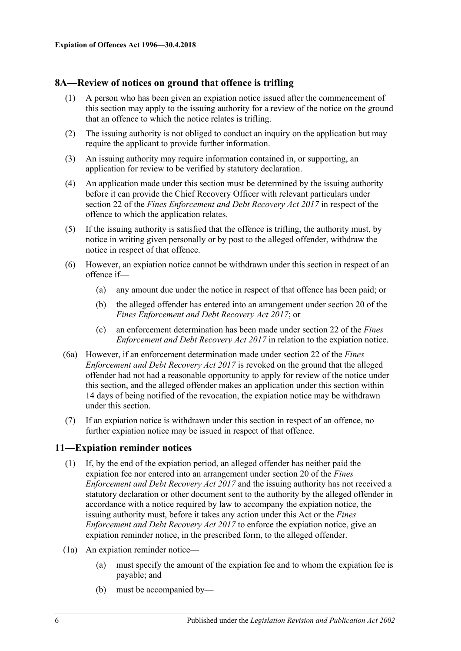## <span id="page-5-0"></span>**8A—Review of notices on ground that offence is trifling**

- (1) A person who has been given an expiation notice issued after the commencement of this section may apply to the issuing authority for a review of the notice on the ground that an offence to which the notice relates is trifling.
- (2) The issuing authority is not obliged to conduct an inquiry on the application but may require the applicant to provide further information.
- (3) An issuing authority may require information contained in, or supporting, an application for review to be verified by statutory declaration.
- (4) An application made under this section must be determined by the issuing authority before it can provide the Chief Recovery Officer with relevant particulars under section 22 of the *[Fines Enforcement and Debt Recovery Act](http://www.legislation.sa.gov.au/index.aspx?action=legref&type=act&legtitle=Fines%20Enforcement%20and%20Debt%20Recovery%20Act%202017) 2017* in respect of the offence to which the application relates.
- (5) If the issuing authority is satisfied that the offence is trifling, the authority must, by notice in writing given personally or by post to the alleged offender, withdraw the notice in respect of that offence.
- (6) However, an expiation notice cannot be withdrawn under this section in respect of an offence if—
	- (a) any amount due under the notice in respect of that offence has been paid; or
	- (b) the alleged offender has entered into an arrangement under section 20 of the *[Fines Enforcement and Debt Recovery Act](http://www.legislation.sa.gov.au/index.aspx?action=legref&type=act&legtitle=Fines%20Enforcement%20and%20Debt%20Recovery%20Act%202017) 2017*; or
	- (c) an enforcement determination has been made under section 22 of the *[Fines](http://www.legislation.sa.gov.au/index.aspx?action=legref&type=act&legtitle=Fines%20Enforcement%20and%20Debt%20Recovery%20Act%202017)  [Enforcement and Debt Recovery Act](http://www.legislation.sa.gov.au/index.aspx?action=legref&type=act&legtitle=Fines%20Enforcement%20and%20Debt%20Recovery%20Act%202017) 2017* in relation to the expiation notice.
- (6a) However, if an enforcement determination made under section 22 of the *[Fines](http://www.legislation.sa.gov.au/index.aspx?action=legref&type=act&legtitle=Fines%20Enforcement%20and%20Debt%20Recovery%20Act%202017)  [Enforcement and Debt Recovery Act 2017](http://www.legislation.sa.gov.au/index.aspx?action=legref&type=act&legtitle=Fines%20Enforcement%20and%20Debt%20Recovery%20Act%202017)* is revoked on the ground that the alleged offender had not had a reasonable opportunity to apply for review of the notice under this section, and the alleged offender makes an application under this section within 14 days of being notified of the revocation, the expiation notice may be withdrawn under this section.
- (7) If an expiation notice is withdrawn under this section in respect of an offence, no further expiation notice may be issued in respect of that offence.

## <span id="page-5-1"></span>**11—Expiation reminder notices**

- (1) If, by the end of the expiation period, an alleged offender has neither paid the expiation fee nor entered into an arrangement under section 20 of the *[Fines](http://www.legislation.sa.gov.au/index.aspx?action=legref&type=act&legtitle=Fines%20Enforcement%20and%20Debt%20Recovery%20Act%202017)  [Enforcement and Debt Recovery Act](http://www.legislation.sa.gov.au/index.aspx?action=legref&type=act&legtitle=Fines%20Enforcement%20and%20Debt%20Recovery%20Act%202017) 2017* and the issuing authority has not received a statutory declaration or other document sent to the authority by the alleged offender in accordance with a notice required by law to accompany the expiation notice, the issuing authority must, before it takes any action under this Act or the *[Fines](http://www.legislation.sa.gov.au/index.aspx?action=legref&type=act&legtitle=Fines%20Enforcement%20and%20Debt%20Recovery%20Act%202017)  [Enforcement and Debt Recovery Act](http://www.legislation.sa.gov.au/index.aspx?action=legref&type=act&legtitle=Fines%20Enforcement%20and%20Debt%20Recovery%20Act%202017) 2017* to enforce the expiation notice, give an expiation reminder notice, in the prescribed form, to the alleged offender.
- (1a) An expiation reminder notice—
	- (a) must specify the amount of the expiation fee and to whom the expiation fee is payable; and
	- (b) must be accompanied by—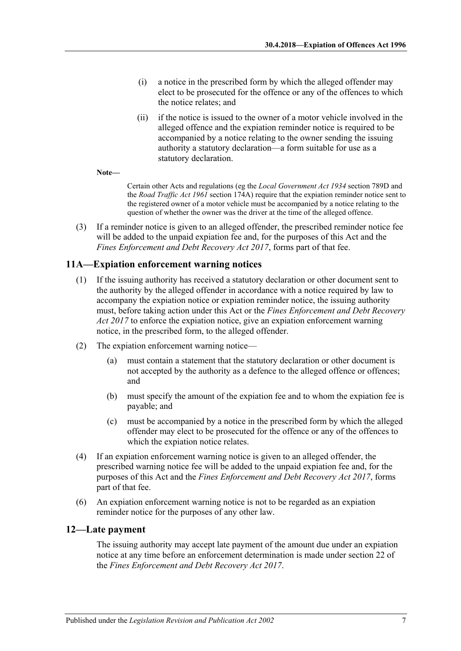- (i) a notice in the prescribed form by which the alleged offender may elect to be prosecuted for the offence or any of the offences to which the notice relates; and
- (ii) if the notice is issued to the owner of a motor vehicle involved in the alleged offence and the expiation reminder notice is required to be accompanied by a notice relating to the owner sending the issuing authority a statutory declaration—a form suitable for use as a statutory declaration.

**Note—**

Certain other Acts and regulations (eg the *[Local Government Act](http://www.legislation.sa.gov.au/index.aspx?action=legref&type=act&legtitle=Local%20Government%20Act%201934) 1934* section 789D and the *[Road Traffic Act](http://www.legislation.sa.gov.au/index.aspx?action=legref&type=act&legtitle=Road%20Traffic%20Act%201961) 1961* section 174A) require that the expiation reminder notice sent to the registered owner of a motor vehicle must be accompanied by a notice relating to the question of whether the owner was the driver at the time of the alleged offence.

(3) If a reminder notice is given to an alleged offender, the prescribed reminder notice fee will be added to the unpaid expiation fee and, for the purposes of this Act and the *[Fines Enforcement and Debt Recovery Act](http://www.legislation.sa.gov.au/index.aspx?action=legref&type=act&legtitle=Fines%20Enforcement%20and%20Debt%20Recovery%20Act%202017) 2017*, forms part of that fee.

## <span id="page-6-0"></span>**11A—Expiation enforcement warning notices**

- (1) If the issuing authority has received a statutory declaration or other document sent to the authority by the alleged offender in accordance with a notice required by law to accompany the expiation notice or expiation reminder notice, the issuing authority must, before taking action under this Act or the *[Fines Enforcement and Debt Recovery](http://www.legislation.sa.gov.au/index.aspx?action=legref&type=act&legtitle=Fines%20Enforcement%20and%20Debt%20Recovery%20Act%202017)  Act [2017](http://www.legislation.sa.gov.au/index.aspx?action=legref&type=act&legtitle=Fines%20Enforcement%20and%20Debt%20Recovery%20Act%202017)* to enforce the expiation notice, give an expiation enforcement warning notice, in the prescribed form, to the alleged offender.
- (2) The expiation enforcement warning notice—
	- (a) must contain a statement that the statutory declaration or other document is not accepted by the authority as a defence to the alleged offence or offences; and
	- (b) must specify the amount of the expiation fee and to whom the expiation fee is payable; and
	- (c) must be accompanied by a notice in the prescribed form by which the alleged offender may elect to be prosecuted for the offence or any of the offences to which the expiation notice relates.
- (4) If an expiation enforcement warning notice is given to an alleged offender, the prescribed warning notice fee will be added to the unpaid expiation fee and, for the purposes of this Act and the *[Fines Enforcement and Debt Recovery Act 2017](http://www.legislation.sa.gov.au/index.aspx?action=legref&type=act&legtitle=Fines%20Enforcement%20and%20Debt%20Recovery%20Act%202017)*, forms part of that fee.
- (6) An expiation enforcement warning notice is not to be regarded as an expiation reminder notice for the purposes of any other law.

#### <span id="page-6-1"></span>**12—Late payment**

The issuing authority may accept late payment of the amount due under an expiation notice at any time before an enforcement determination is made under section 22 of the *[Fines Enforcement and Debt Recovery Act](http://www.legislation.sa.gov.au/index.aspx?action=legref&type=act&legtitle=Fines%20Enforcement%20and%20Debt%20Recovery%20Act%202017) 2017*.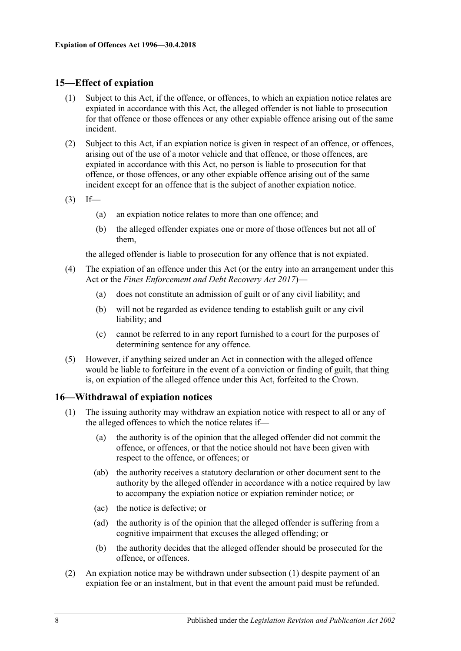## <span id="page-7-0"></span>**15—Effect of expiation**

- (1) Subject to this Act, if the offence, or offences, to which an expiation notice relates are expiated in accordance with this Act, the alleged offender is not liable to prosecution for that offence or those offences or any other expiable offence arising out of the same incident.
- (2) Subject to this Act, if an expiation notice is given in respect of an offence, or offences, arising out of the use of a motor vehicle and that offence, or those offences, are expiated in accordance with this Act, no person is liable to prosecution for that offence, or those offences, or any other expiable offence arising out of the same incident except for an offence that is the subject of another expiation notice.
- $(3)$  If—
	- (a) an expiation notice relates to more than one offence; and
	- (b) the alleged offender expiates one or more of those offences but not all of them,

the alleged offender is liable to prosecution for any offence that is not expiated.

- (4) The expiation of an offence under this Act (or the entry into an arrangement under this Act or the *[Fines Enforcement and Debt Recovery Act 2017](http://www.legislation.sa.gov.au/index.aspx?action=legref&type=act&legtitle=Fines%20Enforcement%20and%20Debt%20Recovery%20Act%202017)*)—
	- (a) does not constitute an admission of guilt or of any civil liability; and
	- (b) will not be regarded as evidence tending to establish guilt or any civil liability; and
	- (c) cannot be referred to in any report furnished to a court for the purposes of determining sentence for any offence.
- (5) However, if anything seized under an Act in connection with the alleged offence would be liable to forfeiture in the event of a conviction or finding of guilt, that thing is, on expiation of the alleged offence under this Act, forfeited to the Crown.

## <span id="page-7-2"></span><span id="page-7-1"></span>**16—Withdrawal of expiation notices**

- <span id="page-7-3"></span>(1) The issuing authority may withdraw an expiation notice with respect to all or any of the alleged offences to which the notice relates if—
	- (a) the authority is of the opinion that the alleged offender did not commit the offence, or offences, or that the notice should not have been given with respect to the offence, or offences; or
	- (ab) the authority receives a statutory declaration or other document sent to the authority by the alleged offender in accordance with a notice required by law to accompany the expiation notice or expiation reminder notice; or
	- (ac) the notice is defective; or
	- (ad) the authority is of the opinion that the alleged offender is suffering from a cognitive impairment that excuses the alleged offending; or
	- (b) the authority decides that the alleged offender should be prosecuted for the offence, or offences.
- (2) An expiation notice may be withdrawn under [subsection](#page-7-2) (1) despite payment of an expiation fee or an instalment, but in that event the amount paid must be refunded.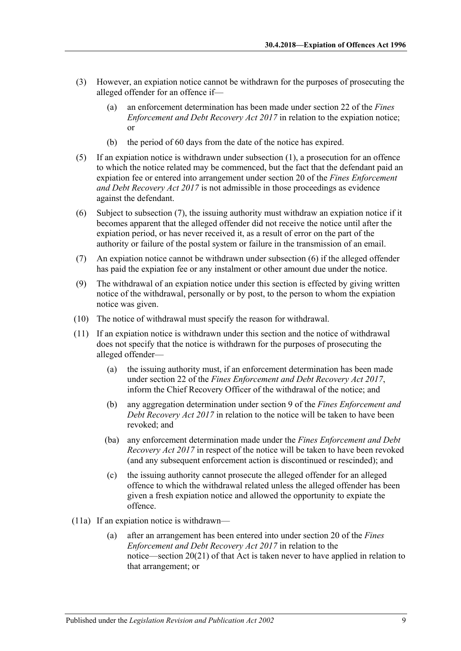- (3) However, an expiation notice cannot be withdrawn for the purposes of prosecuting the alleged offender for an offence if—
	- (a) an enforcement determination has been made under section 22 of the *[Fines](http://www.legislation.sa.gov.au/index.aspx?action=legref&type=act&legtitle=Fines%20Enforcement%20and%20Debt%20Recovery%20Act%202017)  [Enforcement and Debt Recovery Act](http://www.legislation.sa.gov.au/index.aspx?action=legref&type=act&legtitle=Fines%20Enforcement%20and%20Debt%20Recovery%20Act%202017) 2017* in relation to the expiation notice; or
	- (b) the period of 60 days from the date of the notice has expired.
- (5) If an expiation notice is withdrawn under [subsection](#page-7-2) (1), a prosecution for an offence to which the notice related may be commenced, but the fact that the defendant paid an expiation fee or entered into arrangement under section 20 of the *[Fines Enforcement](http://www.legislation.sa.gov.au/index.aspx?action=legref&type=act&legtitle=Fines%20Enforcement%20and%20Debt%20Recovery%20Act%202017)  [and Debt Recovery Act](http://www.legislation.sa.gov.au/index.aspx?action=legref&type=act&legtitle=Fines%20Enforcement%20and%20Debt%20Recovery%20Act%202017) 2017* is not admissible in those proceedings as evidence against the defendant.
- <span id="page-8-1"></span>(6) Subject to [subsection](#page-8-0) (7), the issuing authority must withdraw an expiation notice if it becomes apparent that the alleged offender did not receive the notice until after the expiation period, or has never received it, as a result of error on the part of the authority or failure of the postal system or failure in the transmission of an email.
- <span id="page-8-0"></span>(7) An expiation notice cannot be withdrawn under [subsection](#page-8-1) (6) if the alleged offender has paid the expiation fee or any instalment or other amount due under the notice.
- (9) The withdrawal of an expiation notice under this section is effected by giving written notice of the withdrawal, personally or by post, to the person to whom the expiation notice was given.
- (10) The notice of withdrawal must specify the reason for withdrawal.
- (11) If an expiation notice is withdrawn under this section and the notice of withdrawal does not specify that the notice is withdrawn for the purposes of prosecuting the alleged offender—
	- (a) the issuing authority must, if an enforcement determination has been made under section 22 of the *[Fines Enforcement and Debt Recovery Act](http://www.legislation.sa.gov.au/index.aspx?action=legref&type=act&legtitle=Fines%20Enforcement%20and%20Debt%20Recovery%20Act%202017) 2017*, inform the Chief Recovery Officer of the withdrawal of the notice; and
	- (b) any aggregation determination under section 9 of the *[Fines Enforcement and](http://www.legislation.sa.gov.au/index.aspx?action=legref&type=act&legtitle=Fines%20Enforcement%20and%20Debt%20Recovery%20Act%202017)  [Debt Recovery Act](http://www.legislation.sa.gov.au/index.aspx?action=legref&type=act&legtitle=Fines%20Enforcement%20and%20Debt%20Recovery%20Act%202017) 2017* in relation to the notice will be taken to have been revoked; and
	- (ba) any enforcement determination made under the *[Fines Enforcement and Debt](http://www.legislation.sa.gov.au/index.aspx?action=legref&type=act&legtitle=Fines%20Enforcement%20and%20Debt%20Recovery%20Act%202017)  [Recovery Act 2017](http://www.legislation.sa.gov.au/index.aspx?action=legref&type=act&legtitle=Fines%20Enforcement%20and%20Debt%20Recovery%20Act%202017)* in respect of the notice will be taken to have been revoked (and any subsequent enforcement action is discontinued or rescinded); and
	- (c) the issuing authority cannot prosecute the alleged offender for an alleged offence to which the withdrawal related unless the alleged offender has been given a fresh expiation notice and allowed the opportunity to expiate the offence.
- (11a) If an expiation notice is withdrawn—
	- (a) after an arrangement has been entered into under section 20 of the *[Fines](http://www.legislation.sa.gov.au/index.aspx?action=legref&type=act&legtitle=Fines%20Enforcement%20and%20Debt%20Recovery%20Act%202017)  [Enforcement and Debt Recovery Act](http://www.legislation.sa.gov.au/index.aspx?action=legref&type=act&legtitle=Fines%20Enforcement%20and%20Debt%20Recovery%20Act%202017) 2017* in relation to the notice—section 20(21) of that Act is taken never to have applied in relation to that arrangement; or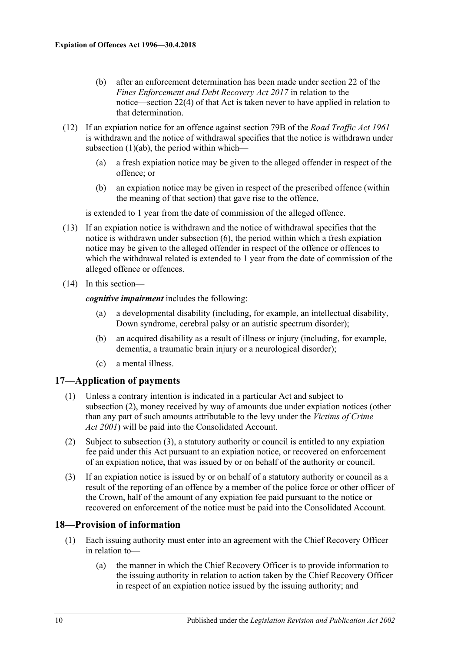- (b) after an enforcement determination has been made under section 22 of the *[Fines Enforcement and Debt Recovery Act](http://www.legislation.sa.gov.au/index.aspx?action=legref&type=act&legtitle=Fines%20Enforcement%20and%20Debt%20Recovery%20Act%202017) 2017* in relation to the notice—section 22(4) of that Act is taken never to have applied in relation to that determination.
- (12) If an expiation notice for an offence against section 79B of the *[Road Traffic Act](http://www.legislation.sa.gov.au/index.aspx?action=legref&type=act&legtitle=Road%20Traffic%20Act%201961) 1961* is withdrawn and the notice of withdrawal specifies that the notice is withdrawn under [subsection](#page-7-3)  $(1)(ab)$ , the period within which—
	- (a) a fresh expiation notice may be given to the alleged offender in respect of the offence; or
	- (b) an expiation notice may be given in respect of the prescribed offence (within the meaning of that section) that gave rise to the offence,

is extended to 1 year from the date of commission of the alleged offence.

- (13) If an expiation notice is withdrawn and the notice of withdrawal specifies that the notice is withdrawn under [subsection](#page-8-1) (6), the period within which a fresh expiation notice may be given to the alleged offender in respect of the offence or offences to which the withdrawal related is extended to 1 year from the date of commission of the alleged offence or offences.
- (14) In this section—

*cognitive impairment* includes the following:

- (a) a developmental disability (including, for example, an intellectual disability, Down syndrome, cerebral palsy or an autistic spectrum disorder);
- (b) an acquired disability as a result of illness or injury (including, for example, dementia, a traumatic brain injury or a neurological disorder);
- (c) a mental illness.

## <span id="page-9-0"></span>**17—Application of payments**

- (1) Unless a contrary intention is indicated in a particular Act and subject to [subsection](#page-9-2) (2), money received by way of amounts due under expiation notices (other than any part of such amounts attributable to the levy under the *[Victims of Crime](http://www.legislation.sa.gov.au/index.aspx?action=legref&type=act&legtitle=Victims%20of%20Crime%20Act%202001)  Act [2001](http://www.legislation.sa.gov.au/index.aspx?action=legref&type=act&legtitle=Victims%20of%20Crime%20Act%202001)*) will be paid into the Consolidated Account.
- <span id="page-9-2"></span>(2) Subject to [subsection](#page-9-3) (3), a statutory authority or council is entitled to any expiation fee paid under this Act pursuant to an expiation notice, or recovered on enforcement of an expiation notice, that was issued by or on behalf of the authority or council.
- <span id="page-9-3"></span>(3) If an expiation notice is issued by or on behalf of a statutory authority or council as a result of the reporting of an offence by a member of the police force or other officer of the Crown, half of the amount of any expiation fee paid pursuant to the notice or recovered on enforcement of the notice must be paid into the Consolidated Account.

## <span id="page-9-1"></span>**18—Provision of information**

- (1) Each issuing authority must enter into an agreement with the Chief Recovery Officer in relation to—
	- (a) the manner in which the Chief Recovery Officer is to provide information to the issuing authority in relation to action taken by the Chief Recovery Officer in respect of an expiation notice issued by the issuing authority; and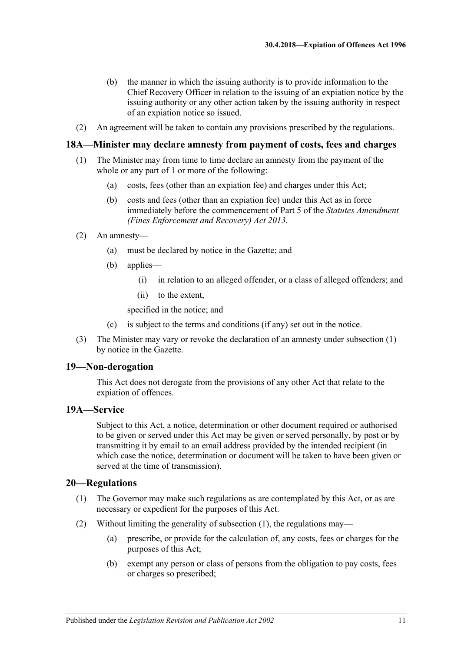- (b) the manner in which the issuing authority is to provide information to the Chief Recovery Officer in relation to the issuing of an expiation notice by the issuing authority or any other action taken by the issuing authority in respect of an expiation notice so issued.
- (2) An agreement will be taken to contain any provisions prescribed by the regulations.

#### <span id="page-10-4"></span><span id="page-10-0"></span>**18A—Minister may declare amnesty from payment of costs, fees and charges**

- (1) The Minister may from time to time declare an amnesty from the payment of the whole or any part of 1 or more of the following:
	- (a) costs, fees (other than an expiation fee) and charges under this Act;
	- (b) costs and fees (other than an expiation fee) under this Act as in force immediately before the commencement of Part 5 of the *[Statutes Amendment](http://www.legislation.sa.gov.au/index.aspx?action=legref&type=act&legtitle=Statutes%20Amendment%20(Fines%20Enforcement%20and%20Recovery)%20Act%202013)  [\(Fines Enforcement and Recovery\) Act](http://www.legislation.sa.gov.au/index.aspx?action=legref&type=act&legtitle=Statutes%20Amendment%20(Fines%20Enforcement%20and%20Recovery)%20Act%202013) 2013*.
- (2) An amnesty—
	- (a) must be declared by notice in the Gazette; and
	- (b) applies—
		- (i) in relation to an alleged offender, or a class of alleged offenders; and
		- (ii) to the extent,

specified in the notice; and

- (c) is subject to the terms and conditions (if any) set out in the notice.
- (3) The Minister may vary or revoke the declaration of an amnesty under [subsection](#page-10-4) (1) by notice in the Gazette.

#### <span id="page-10-1"></span>**19—Non-derogation**

This Act does not derogate from the provisions of any other Act that relate to the expiation of offences.

#### <span id="page-10-2"></span>**19A—Service**

Subject to this Act, a notice, determination or other document required or authorised to be given or served under this Act may be given or served personally, by post or by transmitting it by email to an email address provided by the intended recipient (in which case the notice, determination or document will be taken to have been given or served at the time of transmission).

#### <span id="page-10-5"></span><span id="page-10-3"></span>**20—Regulations**

- (1) The Governor may make such regulations as are contemplated by this Act, or as are necessary or expedient for the purposes of this Act.
- (2) Without limiting the generality of [subsection](#page-10-5) (1), the regulations may—
	- (a) prescribe, or provide for the calculation of, any costs, fees or charges for the purposes of this Act;
	- (b) exempt any person or class of persons from the obligation to pay costs, fees or charges so prescribed;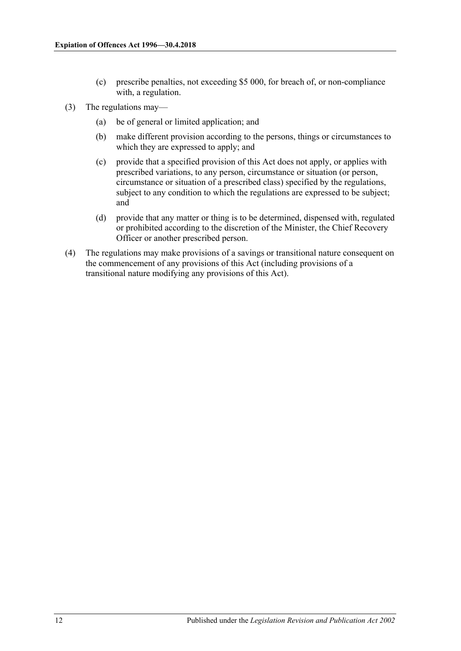- (c) prescribe penalties, not exceeding \$5 000, for breach of, or non-compliance with, a regulation.
- (3) The regulations may—
	- (a) be of general or limited application; and
	- (b) make different provision according to the persons, things or circumstances to which they are expressed to apply; and
	- (c) provide that a specified provision of this Act does not apply, or applies with prescribed variations, to any person, circumstance or situation (or person, circumstance or situation of a prescribed class) specified by the regulations, subject to any condition to which the regulations are expressed to be subject; and
	- (d) provide that any matter or thing is to be determined, dispensed with, regulated or prohibited according to the discretion of the Minister, the Chief Recovery Officer or another prescribed person.
- (4) The regulations may make provisions of a savings or transitional nature consequent on the commencement of any provisions of this Act (including provisions of a transitional nature modifying any provisions of this Act).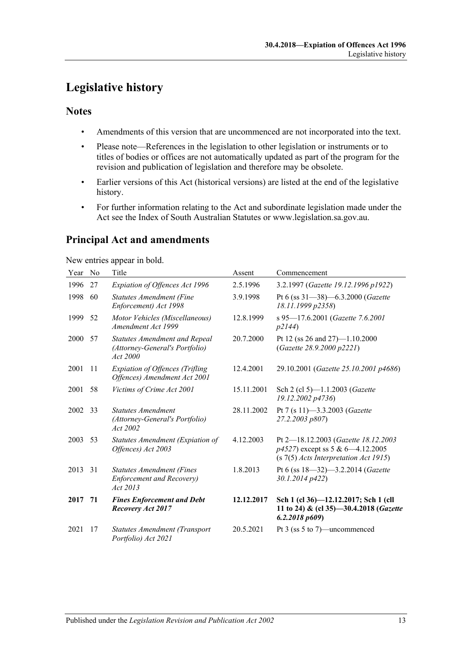# <span id="page-12-0"></span>**Legislative history**

## **Notes**

- Amendments of this version that are uncommenced are not incorporated into the text.
- Please note—References in the legislation to other legislation or instruments or to titles of bodies or offices are not automatically updated as part of the program for the revision and publication of legislation and therefore may be obsolete.
- Earlier versions of this Act (historical versions) are listed at the end of the legislative history.
- For further information relating to the Act and subordinate legislation made under the Act see the Index of South Australian Statutes or www.legislation.sa.gov.au.

## **Principal Act and amendments**

New entries appear in bold.

| Year | No | Title                                                                              | Assent     | Commencement                                                                                                       |
|------|----|------------------------------------------------------------------------------------|------------|--------------------------------------------------------------------------------------------------------------------|
| 1996 | 27 | Expiation of Offences Act 1996                                                     | 2.5.1996   | 3.2.1997 (Gazette 19.12.1996 p1922)                                                                                |
| 1998 | 60 | <b>Statutes Amendment (Fine</b><br>Enforcement) Act 1998                           | 3.9.1998   | Pt 6 (ss 31-38)-6.3.2000 (Gazette<br>18.11.1999 p2358)                                                             |
| 1999 | 52 | Motor Vehicles (Miscellaneous)<br>Amendment Act 1999                               | 12.8.1999  | s 95-17.6.2001 (Gazette 7.6.2001<br>p2144)                                                                         |
| 2000 | 57 | <b>Statutes Amendment and Repeal</b><br>(Attorney-General's Portfolio)<br>Act 2000 | 20.7.2000  | Pt 12 (ss 26 and 27)-1.10.2000<br>(Gazette 28.9.2000 p2221)                                                        |
| 2001 | 11 | <b>Expiation of Offences (Trifling</b><br>Offences) Amendment Act 2001             | 12.4.2001  | 29.10.2001 (Gazette 25.10.2001 p4686)                                                                              |
| 2001 | 58 | Victims of Crime Act 2001                                                          | 15.11.2001 | Sch 2 (cl 5)-1.1.2003 (Gazette<br>19.12.2002 p4736)                                                                |
| 2002 | 33 | <b>Statutes Amendment</b><br>(Attorney-General's Portfolio)<br>Act 2002            | 28.11.2002 | Pt 7 (s 11)-3.3.2003 (Gazette<br>27.2.2003 p807)                                                                   |
| 2003 | 53 | Statutes Amendment (Expiation of<br>Offences) Act 2003                             | 4.12.2003  | Pt 2-18.12.2003 (Gazette 18.12.2003<br>p4527) except ss 5 & 6-4.12.2005<br>$(s 7(5)$ Acts Interpretation Act 1915) |
| 2013 | 31 | <b>Statutes Amendment (Fines</b><br><b>Enforcement and Recovery)</b><br>Act 2013   | 1.8.2013   | Pt 6 (ss $18 - 32$ ) $-3.2.2014$ ( <i>Gazette</i><br>30.1.2014 p422)                                               |
| 2017 | 71 | <b>Fines Enforcement and Debt</b><br>Recovery Act 2017                             | 12.12.2017 | Sch 1 (cl 36)-12.12.2017; Sch 1 (cll<br>11 to 24) & (cl 35)-30.4.2018 (Gazette<br>6.2.2018 p609                    |
| 2021 | 17 | Statutes Amendment (Transport<br>Portfolio) Act 2021                               | 20.5.2021  | Pt 3 (ss 5 to 7)—uncommenced                                                                                       |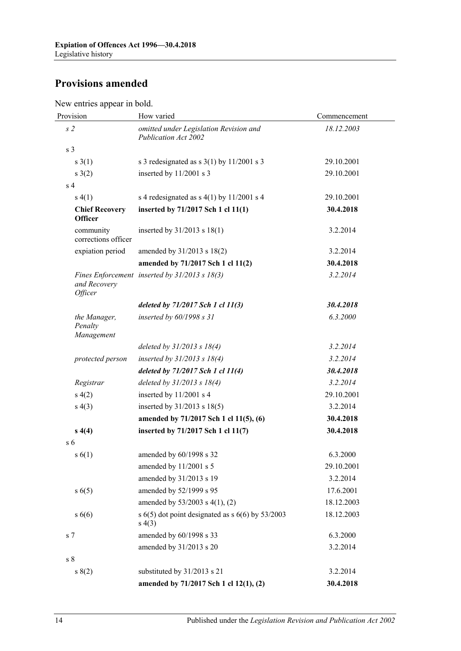## **Provisions amended**

New entries appear in bold.

| Provision                               | How varied                                                      | Commencement |  |
|-----------------------------------------|-----------------------------------------------------------------|--------------|--|
| s <sub>2</sub>                          | omitted under Legislation Revision and<br>Publication Act 2002  | 18.12.2003   |  |
| s <sub>3</sub>                          |                                                                 |              |  |
| $s \; 3(1)$                             | s 3 redesignated as s $3(1)$ by $11/2001$ s 3                   | 29.10.2001   |  |
| $s \; 3(2)$                             | inserted by 11/2001 s 3                                         | 29.10.2001   |  |
| s <sub>4</sub>                          |                                                                 |              |  |
| s(4(1))                                 | s 4 redesignated as $s$ 4(1) by 11/2001 s 4                     | 29.10.2001   |  |
| <b>Chief Recovery</b><br><b>Officer</b> | inserted by 71/2017 Sch 1 cl 11(1)                              | 30.4.2018    |  |
| community<br>corrections officer        | inserted by $31/2013$ s $18(1)$                                 | 3.2.2014     |  |
| expiation period                        | amended by 31/2013 s 18(2)                                      | 3.2.2014     |  |
|                                         | amended by 71/2017 Sch 1 cl 11(2)                               | 30.4.2018    |  |
| and Recovery<br>Officer                 | Fines Enforcement inserted by 31/2013 s 18(3)                   | 3.2.2014     |  |
|                                         | deleted by 71/2017 Sch 1 cl 11(3)                               | 30.4.2018    |  |
| the Manager,<br>Penalty<br>Management   | inserted by 60/1998 s 31                                        | 6.3.2000     |  |
|                                         | deleted by $31/2013$ s $18(4)$                                  | 3.2.2014     |  |
| protected person                        | inserted by $31/2013$ s $18(4)$                                 | 3.2.2014     |  |
|                                         | deleted by 71/2017 Sch 1 cl 11(4)                               | 30.4.2018    |  |
| Registrar                               | deleted by 31/2013 s 18(4)                                      | 3.2.2014     |  |
| s(4(2))                                 | inserted by 11/2001 s 4                                         | 29.10.2001   |  |
| s(4(3))                                 | inserted by $31/2013$ s $18(5)$                                 | 3.2.2014     |  |
|                                         | amended by 71/2017 Sch 1 cl 11(5), (6)                          | 30.4.2018    |  |
| s(4)                                    | inserted by 71/2017 Sch 1 cl 11(7)                              | 30.4.2018    |  |
| s <sub>6</sub>                          |                                                                 |              |  |
| s(6(1))                                 | amended by 60/1998 s 32                                         | 6.3.2000     |  |
|                                         | amended by 11/2001 s 5                                          | 29.10.2001   |  |
|                                         | amended by 31/2013 s 19                                         | 3.2.2014     |  |
| s(6(5))                                 | amended by 52/1999 s 95                                         | 17.6.2001    |  |
|                                         | amended by 53/2003 s 4(1), (2)                                  | 18.12.2003   |  |
| $s\ 6(6)$                               | s $6(5)$ dot point designated as s $6(6)$ by 53/2003<br>s(4(3)) | 18.12.2003   |  |
| s 7                                     | amended by 60/1998 s 33                                         | 6.3.2000     |  |
|                                         | amended by 31/2013 s 20                                         | 3.2.2014     |  |
| $\sqrt{s}$ 8                            |                                                                 |              |  |
| s(2)                                    | substituted by 31/2013 s 21                                     | 3.2.2014     |  |
|                                         | amended by 71/2017 Sch 1 cl 12(1), (2)                          | 30.4.2018    |  |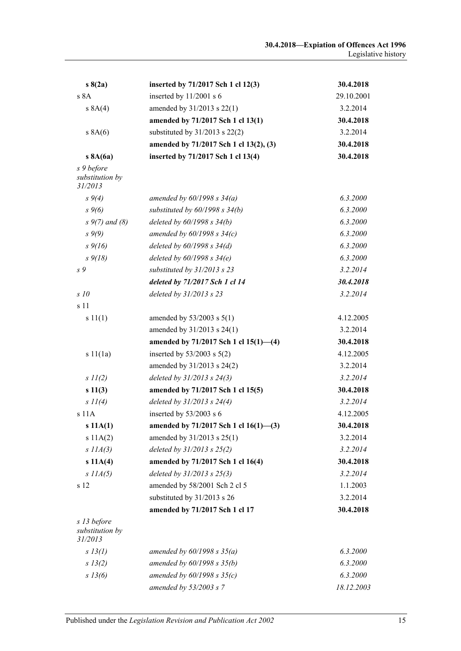| s(2a)                                     | inserted by 71/2017 Sch 1 cl 12(3)     | 30.4.2018  |
|-------------------------------------------|----------------------------------------|------------|
| s 8A                                      | inserted by 11/2001 s 6                | 29.10.2001 |
| s 8A(4)                                   | amended by 31/2013 s 22(1)             | 3.2.2014   |
|                                           | amended by 71/2017 Sch 1 cl 13(1)      | 30.4.2018  |
| s 8A(6)                                   | substituted by 31/2013 s 22(2)         | 3.2.2014   |
|                                           | amended by 71/2017 Sch 1 cl 13(2), (3) | 30.4.2018  |
| s 8A(6a)                                  | inserted by 71/2017 Sch 1 cl 13(4)     | 30.4.2018  |
| s 9 before<br>substitution by<br>31/2013  |                                        |            |
| $s \, 9(4)$                               | amended by $60/1998 s 34(a)$           | 6.3.2000   |
| $s \, 9(6)$                               | substituted by $60/1998$ s $34(b)$     | 6.3.2000   |
| $s \, 9(7)$ and (8)                       | deleted by $60/1998 s 34(b)$           | 6.3.2000   |
| $s \, 9(9)$                               | amended by $60/1998 s 34(c)$           | 6.3.2000   |
| $s \frac{9}{16}$                          | deleted by $60/1998 s 34(d)$           | 6.3.2000   |
| $s \frac{9}{18}$                          | deleted by $60/1998 s 34(e)$           | 6.3.2000   |
| s 9                                       | substituted by 31/2013 s 23            | 3.2.2014   |
|                                           | deleted by 71/2017 Sch 1 cl 14         | 30.4.2018  |
| s10                                       | deleted by $31/2013$ s 23              | 3.2.2014   |
| s 11                                      |                                        |            |
| s 11(1)                                   | amended by $53/2003$ s $5(1)$          | 4.12.2005  |
|                                           | amended by 31/2013 s 24(1)             | 3.2.2014   |
|                                           | amended by 71/2017 Sch 1 cl 15(1)-(4)  | 30.4.2018  |
| s 11(1a)                                  | inserted by $53/2003$ s $5(2)$         | 4.12.2005  |
|                                           | amended by 31/2013 s 24(2)             | 3.2.2014   |
| $s$ $11(2)$                               | deleted by 31/2013 s 24(3)             | 3.2.2014   |
| s 11(3)                                   | amended by 71/2017 Sch 1 cl 15(5)      | 30.4.2018  |
| $s \Pi(4)$                                | deleted by $31/2013$ s $24(4)$         | 3.2.2014   |
| s 11A                                     | inserted by $53/2003$ s 6              | 4.12.2005  |
| s 11A(1)                                  | amended by 71/2017 Sch 1 cl 16(1)-(3)  | 30.4.2018  |
| s 11A(2)                                  | amended by 31/2013 s 25(1)             | 3.2.2014   |
| $s$ $IIA(3)$                              | deleted by $31/2013$ s $25(2)$         | 3.2.2014   |
| s 11A(4)                                  | amended by 71/2017 Sch 1 cl 16(4)      | 30.4.2018  |
| $s$ $IIA(5)$                              | deleted by $31/2013$ s $25(3)$         | 3.2.2014   |
| s 12                                      | amended by 58/2001 Sch 2 cl 5          | 1.1.2003   |
|                                           | substituted by 31/2013 s 26            | 3.2.2014   |
|                                           | amended by 71/2017 Sch 1 cl 17         | 30.4.2018  |
| s 13 before<br>substitution by<br>31/2013 |                                        |            |
| $s$ 13(1)                                 | amended by $60/1998 s 35(a)$           | 6.3.2000   |
| s 13(2)                                   | amended by $60/1998 s 35(b)$           | 6.3.2000   |
| $s\,13(6)$                                | amended by $60/1998 s 35(c)$           | 6.3.2000   |
|                                           | amended by $53/2003$ s 7               | 18.12.2003 |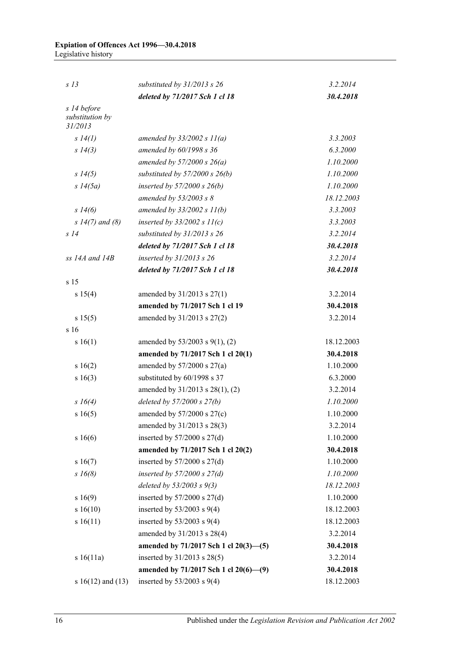| S <sub>13</sub>                           | substituted by $31/2013$ s 26         | 3.2.2014   |
|-------------------------------------------|---------------------------------------|------------|
|                                           | deleted by 71/2017 Sch 1 cl 18        | 30.4.2018  |
| s 14 before<br>substitution by<br>31/2013 |                                       |            |
| s 14(l)                                   | amended by $33/2002 s 11(a)$          | 3.3.2003   |
| $s\;14(3)$                                | amended by 60/1998 s 36               | 6.3.2000   |
|                                           | amended by $57/2000 s 26(a)$          | 1.10.2000  |
| $s\,14(5)$                                | substituted by $57/2000$ s $26(b)$    | 1.10.2000  |
| $s\;14(5a)$                               | inserted by $57/2000$ s $26(b)$       | 1.10.2000  |
|                                           | amended by $53/2003$ s 8              | 18.12.2003 |
| $s\,14(6)$                                | amended by $33/2002 s 11(b)$          | 3.3.2003   |
| $s 14(7)$ and (8)                         | inserted by $33/2002 s 11(c)$         | 3.3.2003   |
| s14                                       | substituted by 31/2013 s 26           | 3.2.2014   |
|                                           | deleted by 71/2017 Sch 1 cl 18        | 30.4.2018  |
| $ss$ 14A and 14B                          | inserted by $31/2013$ s 26            | 3.2.2014   |
|                                           | deleted by 71/2017 Sch 1 cl 18        | 30.4.2018  |
| s 15                                      |                                       |            |
| s 15(4)                                   | amended by $31/2013$ s $27(1)$        | 3.2.2014   |
|                                           | amended by 71/2017 Sch 1 cl 19        | 30.4.2018  |
| s 15(5)                                   | amended by 31/2013 s 27(2)            | 3.2.2014   |
| s 16                                      |                                       |            |
| s 16(1)                                   | amended by $53/2003$ s $9(1)$ , (2)   | 18.12.2003 |
|                                           | amended by 71/2017 Sch 1 cl 20(1)     | 30.4.2018  |
| s 16(2)                                   | amended by $57/2000$ s $27(a)$        | 1.10.2000  |
| s 16(3)                                   | substituted by 60/1998 s 37           | 6.3.2000   |
|                                           | amended by 31/2013 s 28(1), (2)       | 3.2.2014   |
| $s \; 16(4)$                              | deleted by $57/2000 s 27(b)$          | 1.10.2000  |
| s16(5)                                    | amended by $57/2000$ s $27(c)$        | 1.10.2000  |
|                                           | amended by 31/2013 s 28(3)            | 3.2.2014   |
| s16(6)                                    | inserted by $57/2000$ s $27(d)$       | 1.10.2000  |
|                                           | amended by 71/2017 Sch 1 cl 20(2)     | 30.4.2018  |
| s 16(7)                                   | inserted by $57/2000$ s $27(d)$       | 1.10.2000  |
| $s\,16(8)$                                | inserted by $57/2000$ s $27(d)$       | 1.10.2000  |
|                                           | deleted by $53/2003$ s $9(3)$         | 18.12.2003 |
| s16(9)                                    | inserted by $57/2000$ s $27(d)$       | 1.10.2000  |
| s16(10)                                   | inserted by $53/2003$ s $9(4)$        | 18.12.2003 |
| s16(11)                                   | inserted by $53/2003$ s $9(4)$        | 18.12.2003 |
|                                           | amended by 31/2013 s 28(4)            | 3.2.2014   |
|                                           | amended by 71/2017 Sch 1 cl 20(3)-(5) | 30.4.2018  |
| s 16(11a)                                 | inserted by 31/2013 s 28(5)           | 3.2.2014   |
|                                           | amended by 71/2017 Sch 1 cl 20(6)-(9) | 30.4.2018  |
| s $16(12)$ and $(13)$                     | inserted by $53/2003$ s $9(4)$        | 18.12.2003 |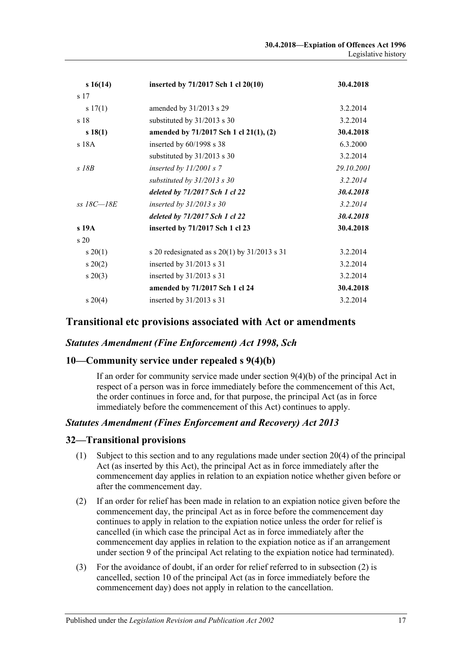| s16(14)         | inserted by 71/2017 Sch 1 cl 20(10)              | 30.4.2018  |
|-----------------|--------------------------------------------------|------------|
| s 17            |                                                  |            |
| s 17(1)         | amended by 31/2013 s 29                          | 3.2.2014   |
| s <sub>18</sub> | substituted by 31/2013 s 30                      | 3.2.2014   |
| s 18(1)         | amended by 71/2017 Sch 1 cl 21(1), (2)           | 30.4.2018  |
| s 18A           | inserted by $60/1998$ s 38                       | 6.3.2000   |
|                 | substituted by 31/2013 s 30                      | 3.2.2014   |
| $S$ 18 $B$      | inserted by $11/2001$ s 7                        | 29.10.2001 |
|                 | substituted by $31/2013$ s 30                    | 3.2.2014   |
|                 | deleted by 71/2017 Sch 1 cl 22                   | 30.4.2018  |
| $ss$ 18C $-18E$ | inserted by $31/2013$ s 30                       | 3.2.2014   |
|                 | deleted by 71/2017 Sch 1 cl 22                   | 30.4.2018  |
| $s$ 19 $A$      | inserted by 71/2017 Sch 1 cl 23                  | 30.4.2018  |
| s <sub>20</sub> |                                                  |            |
| $s \, 20(1)$    | s 20 redesignated as s $20(1)$ by $31/2013$ s 31 | 3.2.2014   |
| $s \ 20(2)$     | inserted by $31/2013$ s 31                       | 3.2.2014   |
| $s\,20(3)$      | inserted by $31/2013$ s 31                       | 3.2.2014   |
|                 | amended by 71/2017 Sch 1 cl 24                   | 30.4.2018  |
| $s \ 20(4)$     | inserted by $31/2013$ s 31                       | 3.2.2014   |

## **Transitional etc provisions associated with Act or amendments**

## *Statutes Amendment (Fine Enforcement) Act 1998, Sch*

## **10—Community service under repealed s 9(4)(b)**

If an order for community service made under section 9(4)(b) of the principal Act in respect of a person was in force immediately before the commencement of this Act, the order continues in force and, for that purpose, the principal Act (as in force immediately before the commencement of this Act) continues to apply.

#### *Statutes Amendment (Fines Enforcement and Recovery) Act 2013*

#### **32—Transitional provisions**

- (1) Subject to this section and to any regulations made under section 20(4) of the principal Act (as inserted by this Act), the principal Act as in force immediately after the commencement day applies in relation to an expiation notice whether given before or after the commencement day.
- <span id="page-16-0"></span>(2) If an order for relief has been made in relation to an expiation notice given before the commencement day, the principal Act as in force before the commencement day continues to apply in relation to the expiation notice unless the order for relief is cancelled (in which case the principal Act as in force immediately after the commencement day applies in relation to the expiation notice as if an arrangement under section 9 of the principal Act relating to the expiation notice had terminated).
- (3) For the avoidance of doubt, if an order for relief referred to in subsection (2) is cancelled, section 10 of the principal Act (as in force immediately before the commencement day) does not apply in relation to the cancellation.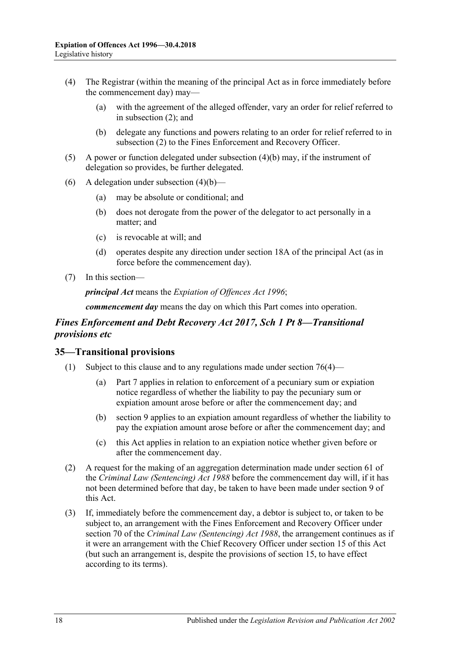- (4) The Registrar (within the meaning of the principal Act as in force immediately before the commencement day) may—
	- (a) with the agreement of the alleged offender, vary an order for relief referred to in [subsection](#page-16-0) (2); and
	- (b) delegate any functions and powers relating to an order for relief referred to in [subsection](#page-16-0) (2) to the Fines Enforcement and Recovery Officer.
- <span id="page-17-0"></span>(5) A power or function delegated under [subsection](#page-17-0) (4)(b) may, if the instrument of delegation so provides, be further delegated.
- (6) A delegation under [subsection](#page-17-0)  $(4)(b)$ 
	- (a) may be absolute or conditional; and
	- (b) does not derogate from the power of the delegator to act personally in a matter; and
	- (c) is revocable at will; and
	- (d) operates despite any direction under section 18A of the principal Act (as in force before the commencement day).
- (7) In this section—

*principal Act* means the *[Expiation of Offences Act](http://www.legislation.sa.gov.au/index.aspx?action=legref&type=act&legtitle=Expiation%20of%20Offences%20Act%201996) 1996*;

*commencement day* means the day on which this Part comes into operation.

## *Fines Enforcement and Debt Recovery Act 2017, Sch 1 Pt 8—Transitional provisions etc*

#### <span id="page-17-1"></span>**35—Transitional provisions**

- (1) Subject to this clause and to any regulations made under section 76(4)—
	- (a) Part 7 applies in relation to enforcement of a pecuniary sum or expiation notice regardless of whether the liability to pay the pecuniary sum or expiation amount arose before or after the commencement day; and
	- (b) section 9 applies to an expiation amount regardless of whether the liability to pay the expiation amount arose before or after the commencement day; and
	- (c) this Act applies in relation to an expiation notice whether given before or after the commencement day.
- (2) A request for the making of an aggregation determination made under section 61 of the *[Criminal Law \(Sentencing\) Act](http://www.legislation.sa.gov.au/index.aspx?action=legref&type=act&legtitle=Criminal%20Law%20(Sentencing)%20Act%201988) 1988* before the commencement day will, if it has not been determined before that day, be taken to have been made under section 9 of this Act.
- (3) If, immediately before the commencement day, a debtor is subject to, or taken to be subject to, an arrangement with the Fines Enforcement and Recovery Officer under section 70 of the *[Criminal Law \(Sentencing\) Act](http://www.legislation.sa.gov.au/index.aspx?action=legref&type=act&legtitle=Criminal%20Law%20(Sentencing)%20Act%201988) 1988*, the arrangement continues as if it were an arrangement with the Chief Recovery Officer under section 15 of this Act (but such an arrangement is, despite the provisions of section 15, to have effect according to its terms).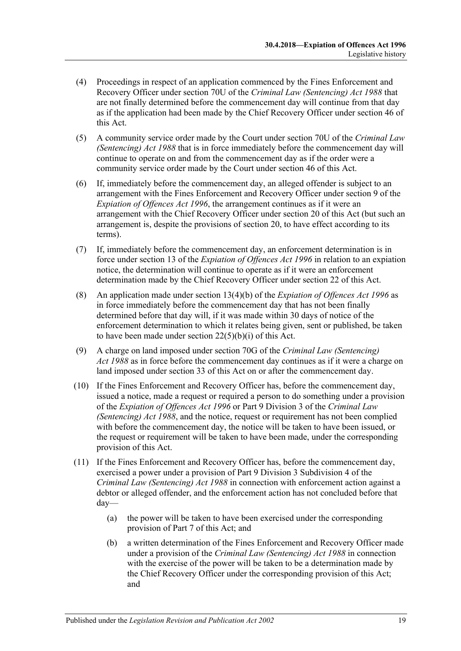- (4) Proceedings in respect of an application commenced by the Fines Enforcement and Recovery Officer under section 70U of the *[Criminal Law \(Sentencing\) Act](http://www.legislation.sa.gov.au/index.aspx?action=legref&type=act&legtitle=Criminal%20Law%20(Sentencing)%20Act%201988) 1988* that are not finally determined before the commencement day will continue from that day as if the application had been made by the Chief Recovery Officer under section 46 of this Act.
- (5) A community service order made by the Court under section 70U of the *[Criminal Law](http://www.legislation.sa.gov.au/index.aspx?action=legref&type=act&legtitle=Criminal%20Law%20(Sentencing)%20Act%201988)  [\(Sentencing\) Act](http://www.legislation.sa.gov.au/index.aspx?action=legref&type=act&legtitle=Criminal%20Law%20(Sentencing)%20Act%201988) 1988* that is in force immediately before the commencement day will continue to operate on and from the commencement day as if the order were a community service order made by the Court under section 46 of this Act.
- (6) If, immediately before the commencement day, an alleged offender is subject to an arrangement with the Fines Enforcement and Recovery Officer under section 9 of the *[Expiation of Offences Act](http://www.legislation.sa.gov.au/index.aspx?action=legref&type=act&legtitle=Expiation%20of%20Offences%20Act%201996) 1996*, the arrangement continues as if it were an arrangement with the Chief Recovery Officer under section 20 of this Act (but such an arrangement is, despite the provisions of section 20, to have effect according to its terms).
- (7) If, immediately before the commencement day, an enforcement determination is in force under section 13 of the *[Expiation of Offences Act](http://www.legislation.sa.gov.au/index.aspx?action=legref&type=act&legtitle=Expiation%20of%20Offences%20Act%201996) 1996* in relation to an expiation notice, the determination will continue to operate as if it were an enforcement determination made by the Chief Recovery Officer under section 22 of this Act.
- (8) An application made under section 13(4)(b) of the *[Expiation of Offences Act](http://www.legislation.sa.gov.au/index.aspx?action=legref&type=act&legtitle=Expiation%20of%20Offences%20Act%201996) 1996* as in force immediately before the commencement day that has not been finally determined before that day will, if it was made within 30 days of notice of the enforcement determination to which it relates being given, sent or published, be taken to have been made under section  $22(5)(b)(i)$  of this Act.
- (9) A charge on land imposed under section 70G of the *[Criminal Law \(Sentencing\)](http://www.legislation.sa.gov.au/index.aspx?action=legref&type=act&legtitle=Criminal%20Law%20(Sentencing)%20Act%201988)  Act [1988](http://www.legislation.sa.gov.au/index.aspx?action=legref&type=act&legtitle=Criminal%20Law%20(Sentencing)%20Act%201988)* as in force before the commencement day continues as if it were a charge on land imposed under section 33 of this Act on or after the commencement day.
- (10) If the Fines Enforcement and Recovery Officer has, before the commencement day, issued a notice, made a request or required a person to do something under a provision of the *[Expiation of Offences Act](http://www.legislation.sa.gov.au/index.aspx?action=legref&type=act&legtitle=Expiation%20of%20Offences%20Act%201996) 1996* or Part 9 Division 3 of the *[Criminal Law](http://www.legislation.sa.gov.au/index.aspx?action=legref&type=act&legtitle=Criminal%20Law%20(Sentencing)%20Act%201988)  [\(Sentencing\) Act](http://www.legislation.sa.gov.au/index.aspx?action=legref&type=act&legtitle=Criminal%20Law%20(Sentencing)%20Act%201988) 1988*, and the notice, request or requirement has not been complied with before the commencement day, the notice will be taken to have been issued, or the request or requirement will be taken to have been made, under the corresponding provision of this Act.
- (11) If the Fines Enforcement and Recovery Officer has, before the commencement day, exercised a power under a provision of Part 9 Division 3 Subdivision 4 of the *[Criminal Law \(Sentencing\) Act](http://www.legislation.sa.gov.au/index.aspx?action=legref&type=act&legtitle=Criminal%20Law%20(Sentencing)%20Act%201988) 1988* in connection with enforcement action against a debtor or alleged offender, and the enforcement action has not concluded before that day—
	- (a) the power will be taken to have been exercised under the corresponding provision of Part 7 of this Act; and
	- (b) a written determination of the Fines Enforcement and Recovery Officer made under a provision of the *[Criminal Law \(Sentencing\) Act](http://www.legislation.sa.gov.au/index.aspx?action=legref&type=act&legtitle=Criminal%20Law%20(Sentencing)%20Act%201988) 1988* in connection with the exercise of the power will be taken to be a determination made by the Chief Recovery Officer under the corresponding provision of this Act; and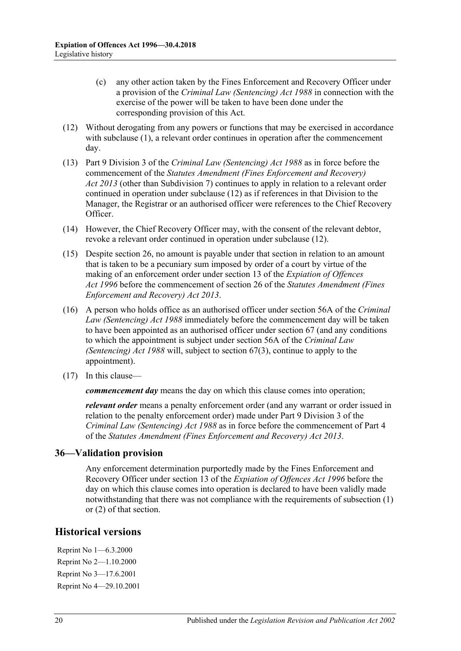- (c) any other action taken by the Fines Enforcement and Recovery Officer under a provision of the *[Criminal Law \(Sentencing\) Act](http://www.legislation.sa.gov.au/index.aspx?action=legref&type=act&legtitle=Criminal%20Law%20(Sentencing)%20Act%201988) 1988* in connection with the exercise of the power will be taken to have been done under the corresponding provision of this Act.
- <span id="page-19-0"></span>(12) Without derogating from any powers or functions that may be exercised in accordance with [subclause](#page-17-1) (1), a relevant order continues in operation after the commencement day.
- (13) Part 9 Division 3 of the *[Criminal Law \(Sentencing\) Act](http://www.legislation.sa.gov.au/index.aspx?action=legref&type=act&legtitle=Criminal%20Law%20(Sentencing)%20Act%201988) 1988* as in force before the commencement of the *[Statutes Amendment \(Fines Enforcement and Recovery\)](http://www.legislation.sa.gov.au/index.aspx?action=legref&type=act&legtitle=Statutes%20Amendment%20(Fines%20Enforcement%20and%20Recovery)%20Act%202013)  Act [2013](http://www.legislation.sa.gov.au/index.aspx?action=legref&type=act&legtitle=Statutes%20Amendment%20(Fines%20Enforcement%20and%20Recovery)%20Act%202013)* (other than Subdivision 7) continues to apply in relation to a relevant order continued in operation under [subclause](#page-19-0) (12) as if references in that Division to the Manager, the Registrar or an authorised officer were references to the Chief Recovery Officer.
- (14) However, the Chief Recovery Officer may, with the consent of the relevant debtor, revoke a relevant order continued in operation under [subclause](#page-19-0) (12).
- (15) Despite section 26, no amount is payable under that section in relation to an amount that is taken to be a pecuniary sum imposed by order of a court by virtue of the making of an enforcement order under section 13 of the *[Expiation of Offences](http://www.legislation.sa.gov.au/index.aspx?action=legref&type=act&legtitle=Expiation%20of%20Offences%20Act%201996)  Act [1996](http://www.legislation.sa.gov.au/index.aspx?action=legref&type=act&legtitle=Expiation%20of%20Offences%20Act%201996)* before the commencement of section 26 of the *[Statutes Amendment \(Fines](http://www.legislation.sa.gov.au/index.aspx?action=legref&type=act&legtitle=Statutes%20Amendment%20(Fines%20Enforcement%20and%20Recovery)%20Act%202013)  [Enforcement and Recovery\) Act 2013](http://www.legislation.sa.gov.au/index.aspx?action=legref&type=act&legtitle=Statutes%20Amendment%20(Fines%20Enforcement%20and%20Recovery)%20Act%202013)*.
- (16) A person who holds office as an authorised officer under section 56A of the *[Criminal](http://www.legislation.sa.gov.au/index.aspx?action=legref&type=act&legtitle=Criminal%20Law%20(Sentencing)%20Act%201988)  [Law \(Sentencing\) Act](http://www.legislation.sa.gov.au/index.aspx?action=legref&type=act&legtitle=Criminal%20Law%20(Sentencing)%20Act%201988) 1988* immediately before the commencement day will be taken to have been appointed as an authorised officer under section 67 (and any conditions to which the appointment is subject under section 56A of the *[Criminal Law](http://www.legislation.sa.gov.au/index.aspx?action=legref&type=act&legtitle=Criminal%20Law%20(Sentencing)%20Act%201988)  [\(Sentencing\) Act](http://www.legislation.sa.gov.au/index.aspx?action=legref&type=act&legtitle=Criminal%20Law%20(Sentencing)%20Act%201988) 1988* will, subject to section 67(3), continue to apply to the appointment).
- (17) In this clause—

*commencement day* means the day on which this clause comes into operation;

*relevant order* means a penalty enforcement order (and any warrant or order issued in relation to the penalty enforcement order) made under Part 9 Division 3 of the *[Criminal Law \(Sentencing\) Act](http://www.legislation.sa.gov.au/index.aspx?action=legref&type=act&legtitle=Criminal%20Law%20(Sentencing)%20Act%201988) 1988* as in force before the commencement of Part 4 of the *[Statutes Amendment \(Fines Enforcement and Recovery\) Act](http://www.legislation.sa.gov.au/index.aspx?action=legref&type=act&legtitle=Statutes%20Amendment%20(Fines%20Enforcement%20and%20Recovery)%20Act%202013) 2013*.

## **36—Validation provision**

Any enforcement determination purportedly made by the Fines Enforcement and Recovery Officer under section 13 of the *[Expiation of Offences Act](http://www.legislation.sa.gov.au/index.aspx?action=legref&type=act&legtitle=Expiation%20of%20Offences%20Act%201996) 1996* before the day on which this clause comes into operation is declared to have been validly made notwithstanding that there was not compliance with the requirements of subsection (1) or (2) of that section.

## **Historical versions**

Reprint No 1—6.3.2000 Reprint No 2—1.10.2000 Reprint No 3—17.6.2001 Reprint No 4—29.10.2001